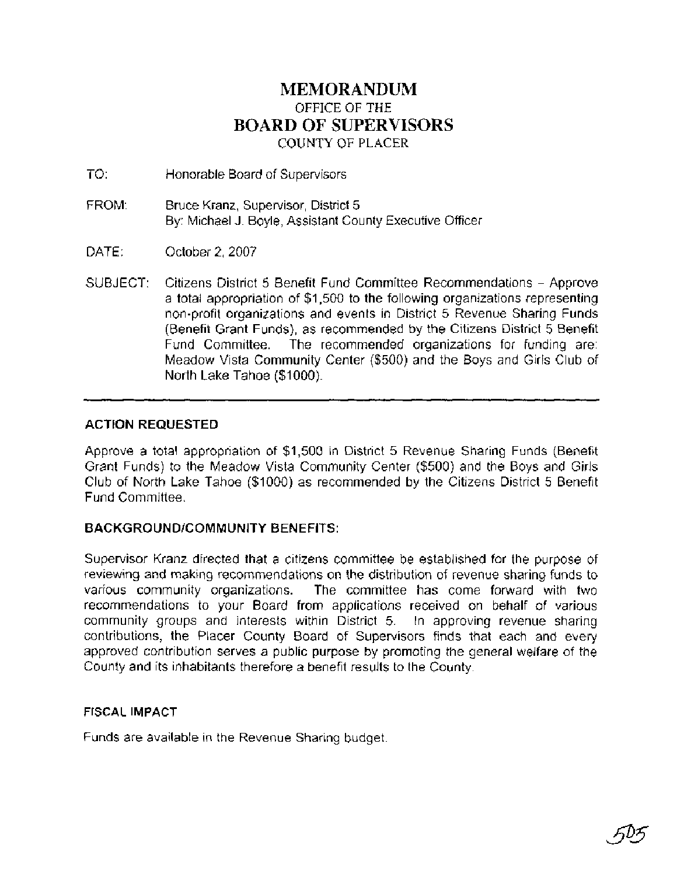### **MEMORANDUM**  OFFICE OF THE **BOARD** OF **SUPERVISORS**  COUNTY OF **PLACER**

TO: Honorable Board of Supervisors

- FROM: Bruce Kranz, Supervisor, District 5 By: Michael J. Boyle, Assistant County Executive Officer
- DATE: October 2,2007
- SUBJECT: Citizens District 5 Benefit Fund Committee Recommendations Approve a total appropriation of \$1,500 to the following organizations representing non-profit organizations and events in District 5 Revenue Sharing Funds (Benefit Grant Funds), as recommended by the Citizens District 5 Benefit Fund Committee. The recommended organizations for funding are: Meadow Vista Community Center (\$500) and the Boys and Girls Club of North Lake Tahoe (\$1000).

### **ACTION REQUESTED**

Approve a total appropriation of \$1,500 in District 5 Revenue Sharing Funds (Benefit Grant Funds) to the Meadow Vista Community Center (\$500) and the Boys and Girls Club of North Lake Tahoe (\$1000) as recommended by the Citizens District 5 Benefit Fund Committee.

### **BACKGROUNDICOMMUNITY BENEFITS:**

Supervisor Kranz directed that a citizens committee be established for the purpose of reviewing and making recommendations on the distribution of revenue sharing funds to various community organizations. The committee has come forward with two recommendations to your Board from applications received on behalf of various community groups and interests within District 5. In approving revenue sharing contributions, the Placer County Board of Supervisors finds that each and every approved contribution serves a public purpose by promoting the general welfare of the County and its inhabitants therefore a benefit results to the County.

#### **FISCAL IMPACT**

Funds are available in the Revenue Sharing budget.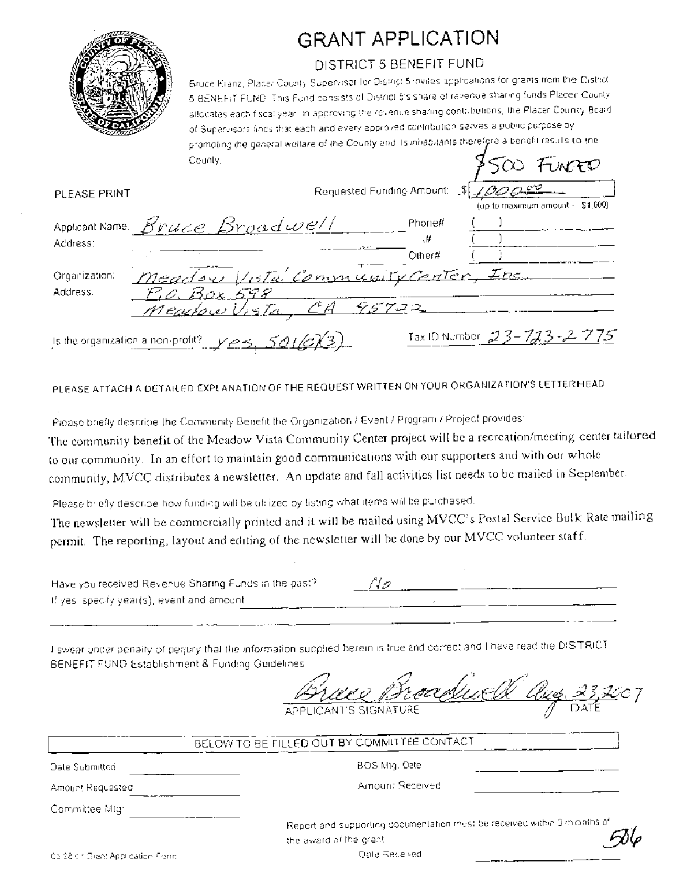

# **GRANT APPLICATION**

## DISTRICT 5 BENEFIT FUND

Bruce Kranz, Placer County Supervisor for District 5 invites applications for grants from the District 5 BENEFIT FUND, This Fund consists of District S's share of revenue sharing funds Placer County allocates each fiscallyear. In approving the revenue sharing contributions, the Placer Country Board of Supervisors lines that each and every approved contribution serves a public purpose by promoting the general welfare of the County and its inhabitants therefore a benefit results to the  $8500$  From County.

| PLEASE PRINT                      |                                                                                          | Requested Funding Amount: | $\sim$ $\sim$ $\sim$<br>(up to maximum amount $-51,000$ ) |
|-----------------------------------|------------------------------------------------------------------------------------------|---------------------------|-----------------------------------------------------------|
| Address:                          | Applicant Name Bruce Broadwell                                                           | Phone#<br>₩.<br>Other     |                                                           |
| Organization:<br>Address.         | Meadow Vista Community Center, Inc.<br><u>-P.O. Box 598</u><br>CA 95722<br>Mearlow Vista |                           |                                                           |
| Is the organization a non-profit? | YPS.501/2Y3)                                                                             |                           | Tax ID Number 23-723-2775                                 |

PLEASE ATTACH A DETAILED EXPLANATION OF THE REQUEST WRITTEN ON YOUR ORGANIZATION'S LETTERHEAD

Piease briefly describe the Community Benefit the Organization / Event / Program / Project provides: The community benefit of the Meadow Vista Community Center project will be a recreation/meeting center tailored to our community. In an effort to maintain good communications with our supporters and with our whole community, MVCC distributes a newsletter. An update and fall activities list needs to be mailed in September.

Please briefly describe how funding will be utilized by listing what items will be purchased.

The newsletter will be commercially printed and it will be mailed using MVCC's Postal Service Bulk Rate mailing permit. The reporting, layout and editing of the newsletter will be done by our MVCC volunteer staff.

| Have you received Revenue Sharing Funds in the past? | No. |  |
|------------------------------------------------------|-----|--|
| If yes, specify year(s), event and amount.           |     |  |

I swear under penalty of perjory that the information supplied berein is true and correct and I have read the DISTRICT BENEFIT FUND Establishment & Funding Guidelines

Clues 23

BELOW TO BE FILLED OUT BY COMMITTEE CONTACT

Date Submitted Amount Requested BOS Mtg. Date

Amount Received

Committee Mtg:

Report and supporting documentation must be received within 3 m onths of the award of the grant

**Oate Received**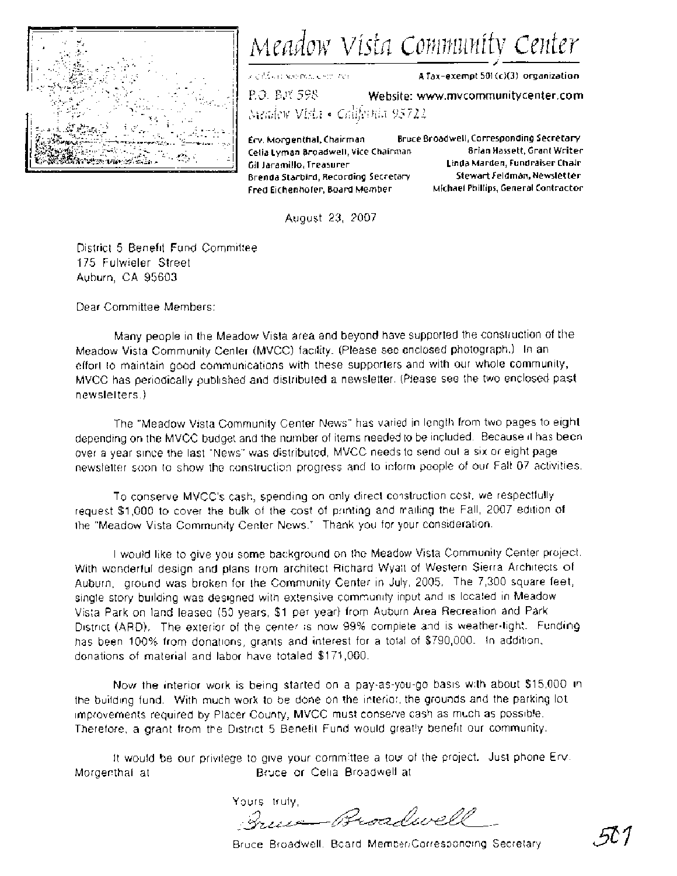

Meadow Vista Community Center **i** ,.,< ; ,~,~,!-p~,~;;~ ,-,!r~o,,:l,;, **A Tax-exempt 501 (cI(3) organization** 

P.0. ELI^ 59s **Website: www.mvcommunitycenter.com** 

i\,ilrii!;llu V[jk!l **e** ~~~i/;'~~~i~ *95 72.2* 

Celia Lyman Broadwell, Vice Chairman **Brian Hassett, Grant Writer** Gil Jaramillo, Treasurer **Linda Marden, Fundraiser Chair Brenda Starbird, Recording Secretary Stewart Feldman, Newsletter Fred Eichenhofer, Board Member Michael Phillips, General Contractor** 

**Erv. Morgenthal, Chairman Bruce Broadwell, Corresponding Secretary** 

August 23, 2007

District 5 Benefit Fund Committee 175 Fulwieler Street Auburn, CA 95603

Dear Committee Members:

Many people in the Meadow Vista area and beyond have supported the construction of the Meadow Vista Community Center (MVCC) facility. (Please see enclosed photograph.) In an effort to maintain good communications with these supporters and with our whole community, MVCC has periodically published and distributed a newsletter. (Please see the two enclosed past newsletters.)

The "Meadow Vista Community Center News" has varied in length from two pages to eight depending on the MVCC budget and the number of items needed to be included. Because it has been over a year since the last "News" was distributed, MVCC needs to send out a six or eight page newsletter soon to show the construction progress and to inform people of our Fall 07 activities.

To conserve MVCC's cash, spending on only direct construction cost, we respectfully request \$1,000 to cover the bulk of the cost of printing and mailing the Fall, 2007 edition of the "Meadow Vista Community Center News." Thank you for your consideration.

I would like to give you some background on the Meadow Vista Community Center project. With wonderful design and plans from architect Richard Wyatt of Western Sierra Architects of Auburn, ground was broken for the Community Center in July, 2005. The 7,300 square feet, single story building was designed with extensive community input and is located in Meadow Vista Park on land leased (50 years, \$1 per year) from Auburn Area Recreation and Park District (ARD). The exterior of the center is now 99% complete and is weather-tight. Funding has been 100% from donations, grants and interest for a total of \$790,000. In addition, donations of material and labor have totaled \$171,000.

Now the interior work is being started on a pay-as-you-go basis with about \$15,000 in the building fund. With much work to be done on the interior, the grounds and the parking lot improvements required by Placer County, MVCC must conserve cash as much as possible. Therefore, a grant from the Dlstrict 5 Benefit Fund would greatly benefit our community.

It would be our privilege to give your committee a tour of the project. Just phone Erv. Morgenthal at **Bruce or Cella Broadwell at** 

Yours truly, Queen-Broadwell

Bruce Broadwell, Board Member/Corresponding Secretary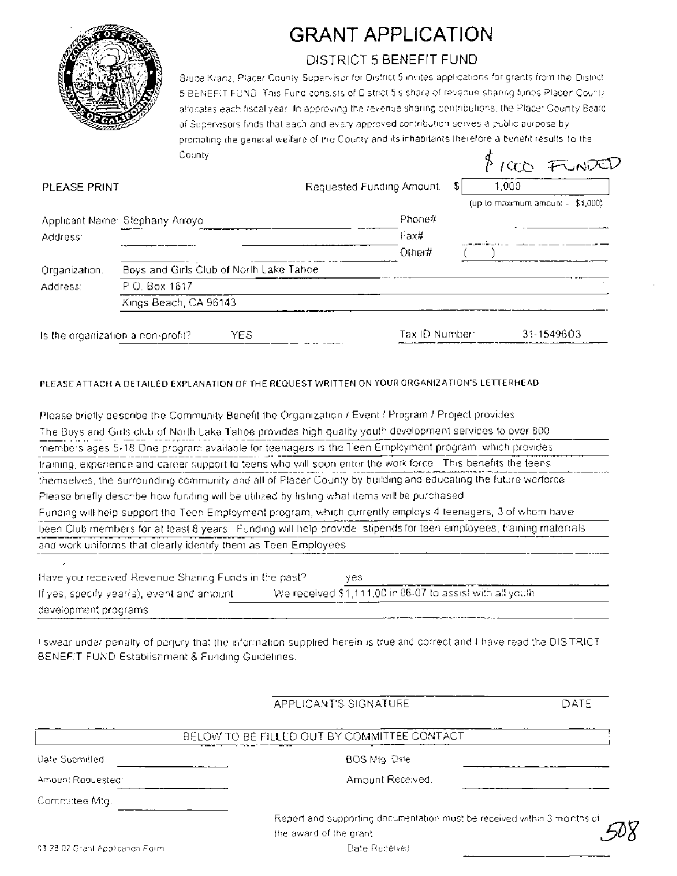

# GRANT APPLICATION

# DISTRICT 5 BENEFIT FUND

Bruce Kranz, Placer County Supervisor for District 5 invites applications for grants from the District 5 BENEFIT FUND. This Fund consists of D strict 5's share of revenue sharing funds Placer County allocates each fiscal year. In approving the revenue sharing contributions, the Placer County Board of Supervisors finds that each and every approved contribution serves a public purpose by promoting the general welfare of the County and its inhabitants therefore a benefit results to the County FIRE FUNDED

| PLEASE PRINT  |                                          | Requested Funding Amount. | 1,000<br>\$1                        |
|---------------|------------------------------------------|---------------------------|-------------------------------------|
|               |                                          |                           | (up to maximum amount $-$ \$4,000). |
|               | Applicant Name: Stephany Arroyo.         | Phone#                    |                                     |
| Address:      |                                          | Fax#                      |                                     |
|               |                                          | Other#                    |                                     |
| Organization. | Boys and Girls Club of North Lake Tahoe. |                           |                                     |
| Address:      | P.O. Box 1617                            |                           |                                     |
|               | Kings Beach, CA 96143                    |                           |                                     |
|               |                                          |                           |                                     |
|               | YES<br>Is the organization a non-profit? | Tax ID Number:            | 31-1549603                          |

#### PLEASE ATTACH A DETAILED EXPLANATION OF THE REQUEST WRITTEN ON YOUR ORGANIZATION'S LETTERHEAD

| Please briefly describe the Community Benefit the Organization / Event / Program / Project provides                |
|--------------------------------------------------------------------------------------------------------------------|
| The Boys and Girls club of North Lake Tahoe provides high quality youth development services to over 800.          |
| members ages 5-18 One program available for teenagers is the Teen Employment program, which provides               |
| training, experience and career support to teens who will soon enter the work force. This benefits the teens       |
| themselves, the surrounding community and all of Placer County by building and educating the future worforce.      |
| Please briefly describe how funding will be utilized by fisting what items will be purchased.                      |
| Funding will help support the Teen Employment program, which currently employs 4 teenagers, 3 of whom have         |
| been Club members for at least 8 years. Funding will help provide, stipends for teen employees, training materials |
| and work uniforms that clearly identify them as Teen Employees.                                                    |
|                                                                                                                    |
| Have you received Revenue Shanno Funds in the past?<br>ves.                                                        |
| We received \$1,111,00 in 06-07 to assist with all youth.<br>If yes, specify year(s), event and amount.            |
| development programs.                                                                                              |

I swear under penalty of perjury that the information supplied herein is true and correct and I have read the DISTRICT BENEFIT FUND Establishment & Funding Guidelines.

|                                  | APPLICANT'S SIGNATURE                                                   | DATE |  |
|----------------------------------|-------------------------------------------------------------------------|------|--|
|                                  | BELOW TO BE FILLED OUT BY COMMITTÉE CONTACT                             |      |  |
| <b>Oate Submitted</b>            | BOS Mtg. Date                                                           |      |  |
| Amount Repuested:                | Amount Received.                                                        |      |  |
| Committee Mtg.                   |                                                                         |      |  |
|                                  | Report and supporting decumentation must be received within 3 months of |      |  |
|                                  | the award of the grant.                                                 |      |  |
| 43-78-07 Grant Application Form. | Date Received                                                           |      |  |